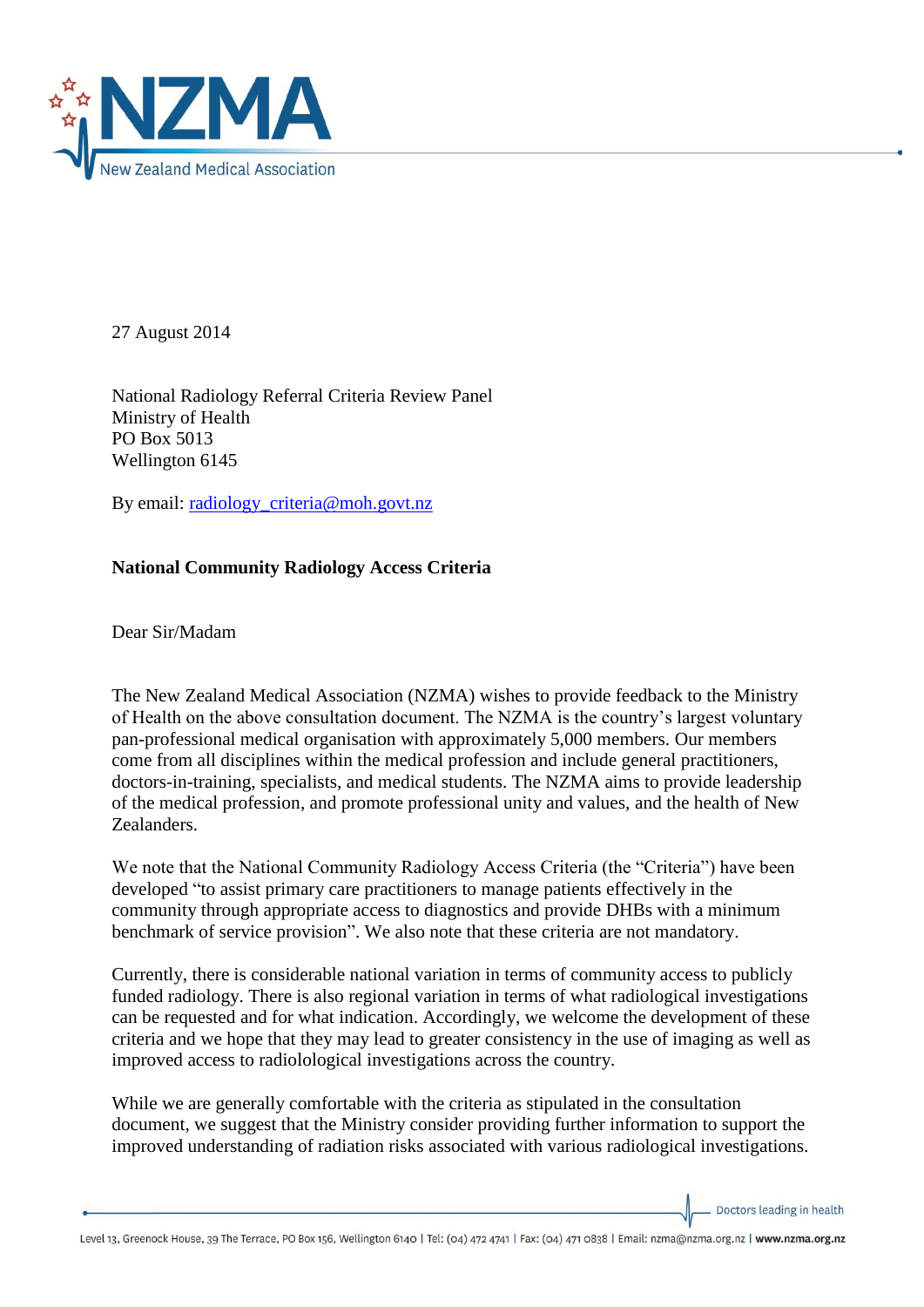

27 August 2014

National Radiology Referral Criteria Review Panel Ministry of Health PO Box 5013 Wellington 6145

By email: [radiology\\_criteria@moh.govt.nz](mailto:radiology_criteria@moh.govt.nz)

## **National Community Radiology Access Criteria**

Dear Sir/Madam

The New Zealand Medical Association (NZMA) wishes to provide feedback to the Ministry of Health on the above consultation document. The NZMA is the country's largest voluntary pan-professional medical organisation with approximately 5,000 members. Our members come from all disciplines within the medical profession and include general practitioners, doctors-in-training, specialists, and medical students. The NZMA aims to provide leadership of the medical profession, and promote professional unity and values, and the health of New Zealanders.

We note that the National Community Radiology Access Criteria (the "Criteria") have been developed "to assist primary care practitioners to manage patients effectively in the community through appropriate access to diagnostics and provide DHBs with a minimum benchmark of service provision". We also note that these criteria are not mandatory.

Currently, there is considerable national variation in terms of community access to publicly funded radiology. There is also regional variation in terms of what radiological investigations can be requested and for what indication. Accordingly, we welcome the development of these criteria and we hope that they may lead to greater consistency in the use of imaging as well as improved access to radiolological investigations across the country.

While we are generally comfortable with the criteria as stipulated in the consultation document, we suggest that the Ministry consider providing further information to support the improved understanding of radiation risks associated with various radiological investigations.

Doctors leading in health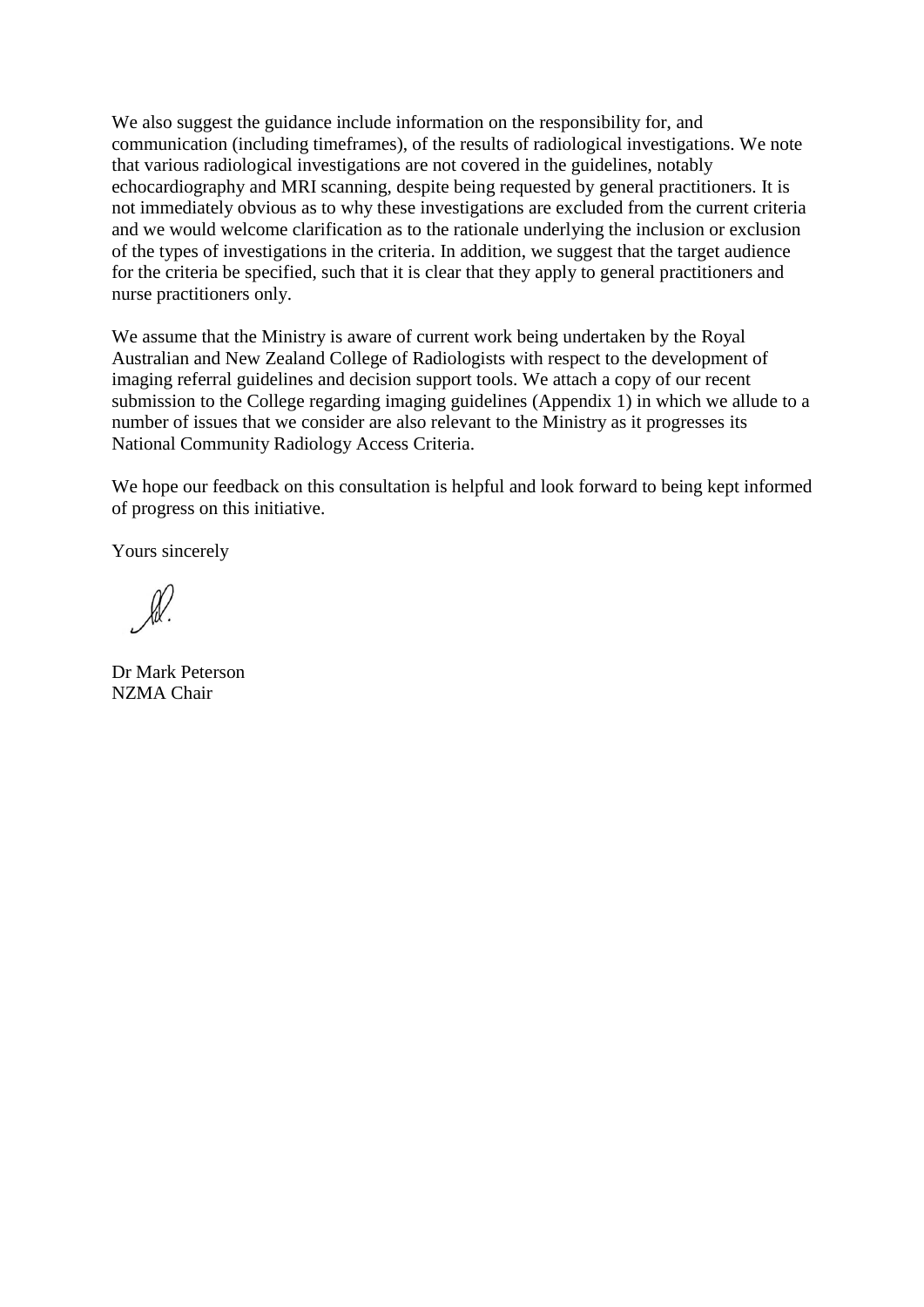We also suggest the guidance include information on the responsibility for, and communication (including timeframes), of the results of radiological investigations. We note that various radiological investigations are not covered in the guidelines, notably echocardiography and MRI scanning, despite being requested by general practitioners. It is not immediately obvious as to why these investigations are excluded from the current criteria and we would welcome clarification as to the rationale underlying the inclusion or exclusion of the types of investigations in the criteria. In addition, we suggest that the target audience for the criteria be specified, such that it is clear that they apply to general practitioners and nurse practitioners only.

We assume that the Ministry is aware of current work being undertaken by the Royal Australian and New Zealand College of Radiologists with respect to the development of imaging referral guidelines and decision support tools. We attach a copy of our recent submission to the College regarding imaging guidelines (Appendix 1) in which we allude to a number of issues that we consider are also relevant to the Ministry as it progresses its National Community Radiology Access Criteria.

We hope our feedback on this consultation is helpful and look forward to being kept informed of progress on this initiative.

Yours sincerely

Dr Mark Peterson NZMA Chair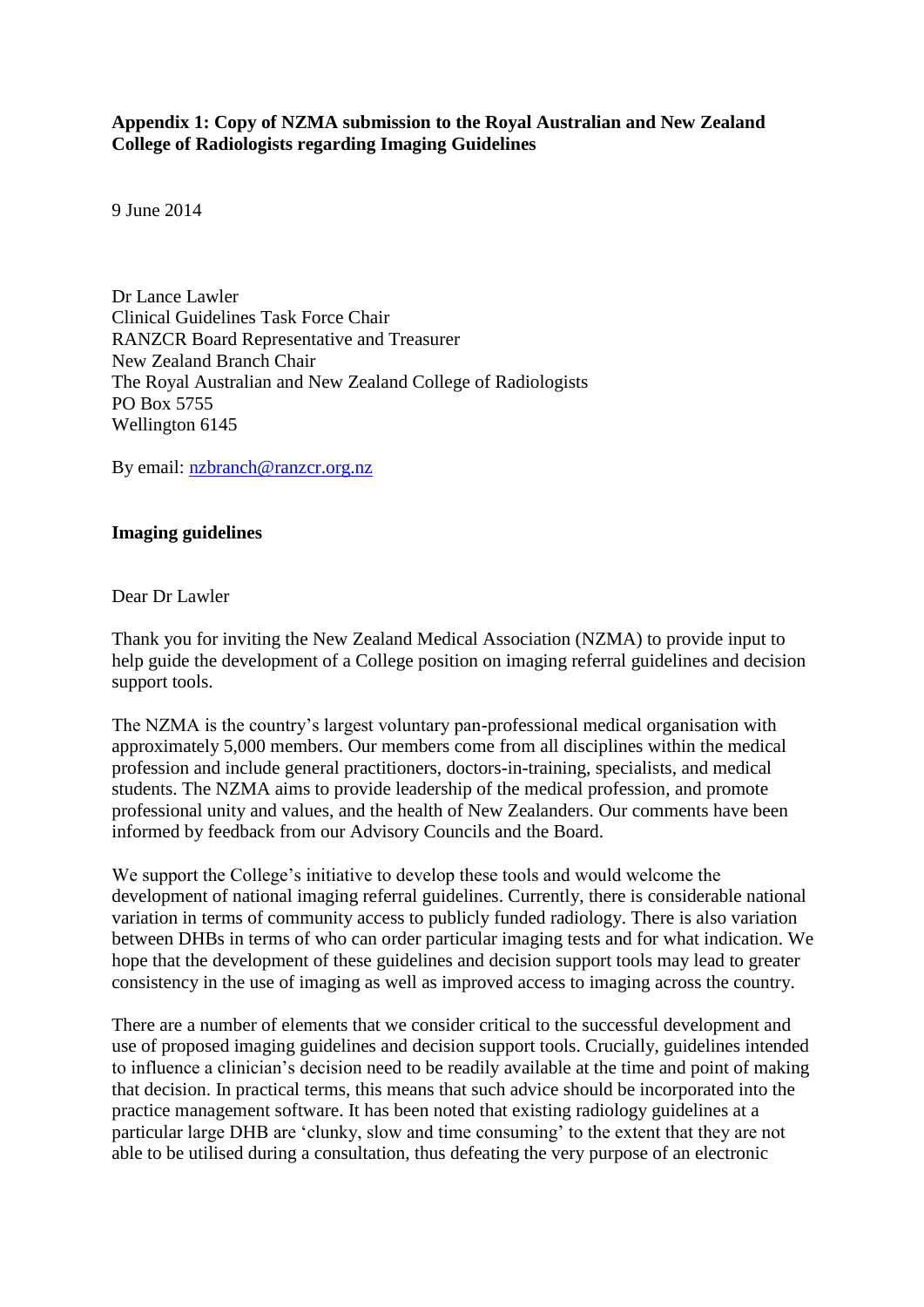## **Appendix 1: Copy of NZMA submission to the Royal Australian and New Zealand College of Radiologists regarding Imaging Guidelines**

9 June 2014

Dr Lance Lawler Clinical Guidelines Task Force Chair RANZCR Board Representative and Treasurer New Zealand Branch Chair The Royal Australian and New Zealand College of Radiologists PO Box 5755 Wellington 6145

By email: [nzbranch@ranzcr.org.nz](mailto:nzbranch@ranzcr.org.nz)

## **Imaging guidelines**

Dear Dr Lawler

Thank you for inviting the New Zealand Medical Association (NZMA) to provide input to help guide the development of a College position on imaging referral guidelines and decision support tools.

The NZMA is the country's largest voluntary pan-professional medical organisation with approximately 5,000 members. Our members come from all disciplines within the medical profession and include general practitioners, doctors-in-training, specialists, and medical students. The NZMA aims to provide leadership of the medical profession, and promote professional unity and values, and the health of New Zealanders. Our comments have been informed by feedback from our Advisory Councils and the Board.

We support the College's initiative to develop these tools and would welcome the development of national imaging referral guidelines. Currently, there is considerable national variation in terms of community access to publicly funded radiology. There is also variation between DHBs in terms of who can order particular imaging tests and for what indication. We hope that the development of these guidelines and decision support tools may lead to greater consistency in the use of imaging as well as improved access to imaging across the country.

There are a number of elements that we consider critical to the successful development and use of proposed imaging guidelines and decision support tools. Crucially, guidelines intended to influence a clinician's decision need to be readily available at the time and point of making that decision. In practical terms, this means that such advice should be incorporated into the practice management software. It has been noted that existing radiology guidelines at a particular large DHB are 'clunky, slow and time consuming' to the extent that they are not able to be utilised during a consultation, thus defeating the very purpose of an electronic